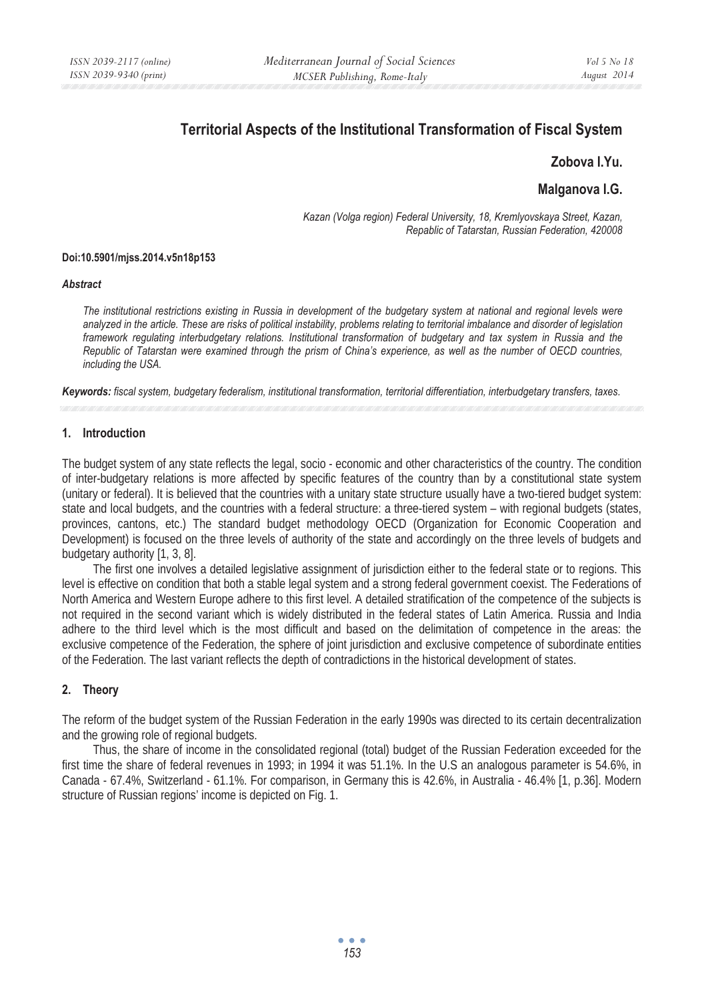# **Territorial Aspects of the Institutional Transformation of Fiscal System**

## **Zobova I.Yu.**

# **Malganova I.G.**

*Kazan (Volga region) Federal University, 18, Kremlyovskaya Street, Kazan, Repablic of Tatarstan, Russian Federation, 420008* 

#### **Doi:10.5901/mjss.2014.v5n18p153**

#### *Abstract*

*The institutional restrictions existing in Russia in development of the budgetary system at national and regional levels were analyzed in the article. These are risks of political instability, problems relating to territorial imbalance and disorder of legislation framework regulating interbudgetary relations. Institutional transformation of budgetary and tax system in Russia and the Republic of Tatarstan were examined through the prism of China's experience, as well as the number of OECD countries, including the USA.* 

*Keywords: fiscal system, budgetary federalism, institutional transformation, territorial differentiation, interbudgetary transfers, taxes.* 

#### **1. Introduction**

The budget system of any state reflects the legal, socio - economic and other characteristics of the country. The condition of inter-budgetary relations is more affected by specific features of the country than by a constitutional state system (unitary or federal). It is believed that the countries with a unitary state structure usually have a two-tiered budget system: state and local budgets, and the countries with a federal structure: a three-tiered system – with regional budgets (states, provinces, cantons, etc.) The standard budget methodology OECD (Organization for Economic Cooperation and Development) is focused on the three levels of authority of the state and accordingly on the three levels of budgets and budgetary authority [1, 3, 8].

The first one involves a detailed legislative assignment of jurisdiction either to the federal state or to regions. This level is effective on condition that both a stable legal system and a strong federal government coexist. The Federations of North America and Western Europe adhere to this first level. A detailed stratification of the competence of the subjects is not required in the second variant which is widely distributed in the federal states of Latin America. Russia and India adhere to the third level which is the most difficult and based on the delimitation of competence in the areas: the exclusive competence of the Federation, the sphere of joint jurisdiction and exclusive competence of subordinate entities of the Federation. The last variant reflects the depth of contradictions in the historical development of states.

## **2. Theory**

The reform of the budget system of the Russian Federation in the early 1990s was directed to its certain decentralization and the growing role of regional budgets.

Thus, the share of income in the consolidated regional (total) budget of the Russian Federation exceeded for the first time the share of federal revenues in 1993; in 1994 it was 51.1%. In the U.S an analogous parameter is 54.6%, in Canada - 67.4%, Switzerland - 61.1%. For comparison, in Germany this is 42.6%, in Australia - 46.4% [1, p.36]. Modern structure of Russian regions' income is depicted on Fig. 1.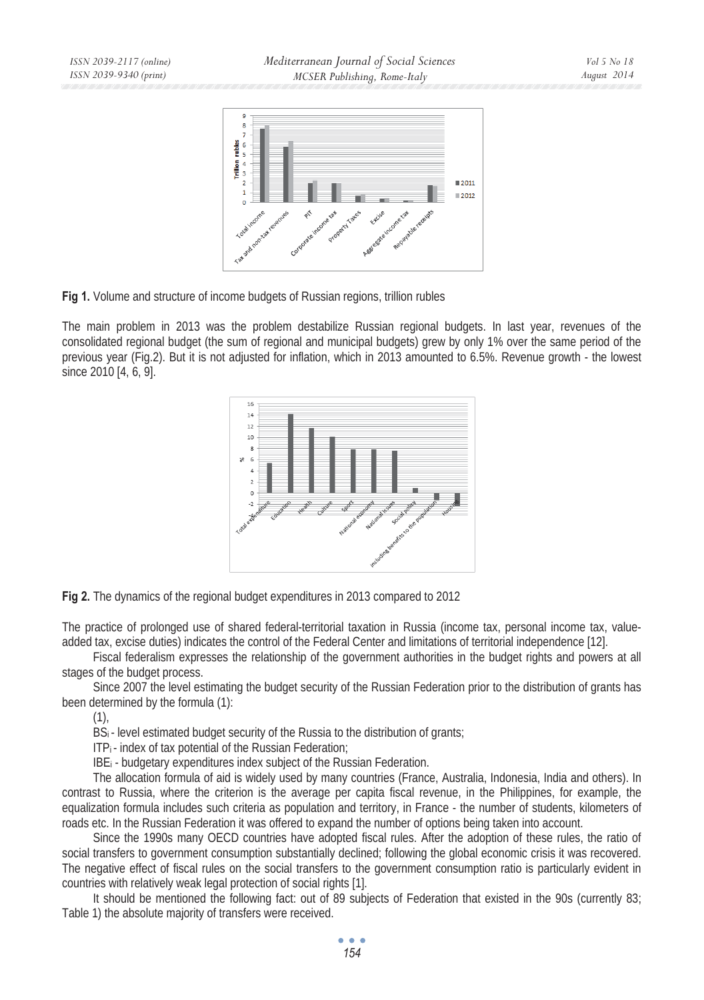



The main problem in 2013 was the problem destabilize Russian regional budgets. In last year, revenues of the consolidated regional budget (the sum of regional and municipal budgets) grew by only 1% over the same period of the previous year (Fig.2). But it is not adjusted for inflation, which in 2013 amounted to 6.5%. Revenue growth - the lowest since 2010 [4, 6, 9].





The practice of prolonged use of shared federal-territorial taxation in Russia (income tax, personal income tax, valueadded tax, excise duties) indicates the control of the Federal Center and limitations of territorial independence [12].

Fiscal federalism expresses the relationship of the government authorities in the budget rights and powers at all stages of the budget process.

Since 2007 the level estimating the budget security of the Russian Federation prior to the distribution of grants has been determined by the formula (1):

 $(1)$ ,

BS<sub>i</sub> - level estimated budget security of the Russia to the distribution of grants;

 $IP_i$ - index of tax potential of the Russian Federation;

IBEi - budgetary expenditures index subject of the Russian Federation.

The allocation formula of aid is widely used by many countries (France, Australia, Indonesia, India and others). In contrast to Russia, where the criterion is the average per capita fiscal revenue, in the Philippines, for example, the equalization formula includes such criteria as population and territory, in France - the number of students, kilometers of roads etc. In the Russian Federation it was offered to expand the number of options being taken into account.

Since the 1990s many OECD countries have adopted fiscal rules. After the adoption of these rules, the ratio of social transfers to government consumption substantially declined; following the global economic crisis it was recovered. The negative effect of fiscal rules on the social transfers to the government consumption ratio is particularly evident in countries with relatively weak legal protection of social rights [1].

It should be mentioned the following fact: out of 89 subjects of Federation that existed in the 90s (currently 83; Table 1) the absolute majority of transfers were received.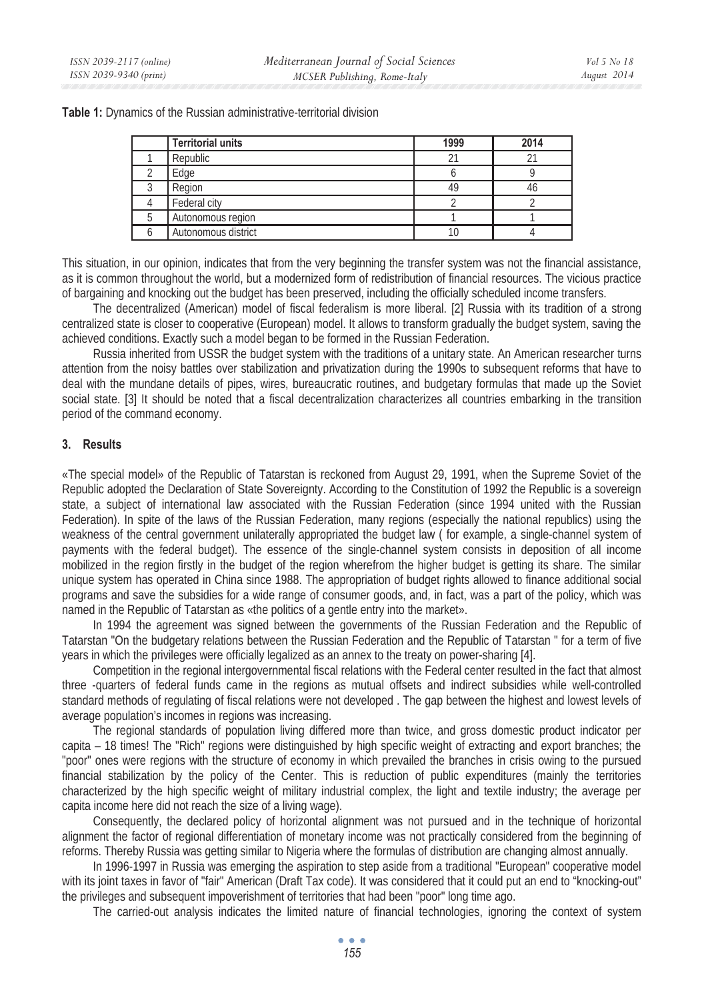**Table 1:** Dynamics of the Russian administrative-territorial division

| <b>Territorial units</b> | 1999 | 2014 |
|--------------------------|------|------|
| Republic                 |      |      |
| Edge                     |      |      |
| Region                   |      | 46   |
| Federal city             |      |      |
| Autonomous region        |      |      |
| Autonomous district      |      |      |

This situation, in our opinion, indicates that from the very beginning the transfer system was not the financial assistance, as it is common throughout the world, but a modernized form of redistribution of financial resources. The vicious practice of bargaining and knocking out the budget has been preserved, including the officially scheduled income transfers.

The decentralized (American) model of fiscal federalism is more liberal. [2] Russia with its tradition of a strong centralized state is closer to cooperative (European) model. It allows to transform gradually the budget system, saving the achieved conditions. Exactly such a model began to be formed in the Russian Federation.

Russia inherited from USSR the budget system with the traditions of a unitary state. An American researcher turns attention from the noisy battles over stabilization and privatization during the 1990s to subsequent reforms that have to deal with the mundane details of pipes, wires, bureaucratic routines, and budgetary formulas that made up the Soviet social state. [3] It should be noted that a fiscal decentralization characterizes all countries embarking in the transition period of the command economy.

## **3. Results**

«The special model» of the Republic of Tatarstan is reckoned from August 29, 1991, when the Supreme Soviet of the Republic adopted the Declaration of State Sovereignty. According to the Constitution of 1992 the Republic is a sovereign state, a subject of international law associated with the Russian Federation (since 1994 united with the Russian Federation). In spite of the laws of the Russian Federation, many regions (especially the national republics) using the weakness of the central government unilaterally appropriated the budget law ( for example, a single-channel system of payments with the federal budget). The essence of the single-channel system consists in deposition of all income mobilized in the region firstly in the budget of the region wherefrom the higher budget is getting its share. The similar unique system has operated in China since 1988. The appropriation of budget rights allowed to finance additional social programs and save the subsidies for a wide range of consumer goods, and, in fact, was a part of the policy, which was named in the Republic of Tatarstan as «the politics of a gentle entry into the market».

In 1994 the agreement was signed between the governments of the Russian Federation and the Republic of Tatarstan "On the budgetary relations between the Russian Federation and the Republic of Tatarstan " for a term of five years in which the privileges were officially legalized as an annex to the treaty on power-sharing [4].

Competition in the regional intergovernmental fiscal relations with the Federal center resulted in the fact that almost three -quarters of federal funds came in the regions as mutual offsets and indirect subsidies while well-controlled standard methods of regulating of fiscal relations were not developed . The gap between the highest and lowest levels of average population's incomes in regions was increasing.

The regional standards of population living differed more than twice, and gross domestic product indicator per capita – 18 times! The "Rich" regions were distinguished by high specific weight of extracting and export branches; the "poor" ones were regions with the structure of economy in which prevailed the branches in crisis owing to the pursued financial stabilization by the policy of the Center. This is reduction of public expenditures (mainly the territories characterized by the high specific weight of military industrial complex, the light and textile industry; the average per capita income here did not reach the size of a living wage).

Consequently, the declared policy of horizontal alignment was not pursued and in the technique of horizontal alignment the factor of regional differentiation of monetary income was not practically considered from the beginning of reforms. Thereby Russia was getting similar to Nigeria where the formulas of distribution are changing almost annually.

In 1996-1997 in Russia was emerging the aspiration to step aside from a traditional "European" cooperative model with its joint taxes in favor of "fair" American (Draft Tax code). It was considered that it could put an end to "knocking-out" the privileges and subsequent impoverishment of territories that had been "poor" long time ago.

The carried-out analysis indicates the limited nature of financial technologies, ignoring the context of system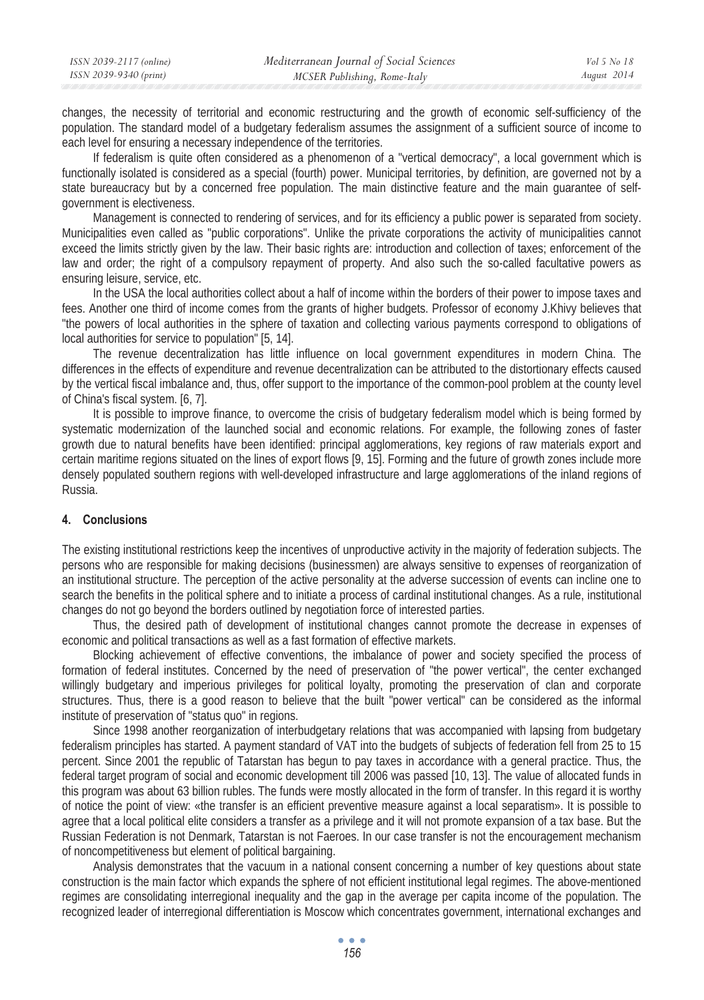| ISSN 2039-2117 (online) | Mediterranean Journal of Social Sciences | Vol 5 No 18 |
|-------------------------|------------------------------------------|-------------|
| ISSN 2039-9340 (print)  | MCSER Publishing, Rome-Italy             | August 2014 |

changes, the necessity of territorial and economic restructuring and the growth of economic self-sufficiency of the population. The standard model of a budgetary federalism assumes the assignment of a sufficient source of income to each level for ensuring a necessary independence of the territories.

If federalism is quite often considered as a phenomenon of a "vertical democracy", a local government which is functionally isolated is considered as a special (fourth) power. Municipal territories, by definition, are governed not by a state bureaucracy but by a concerned free population. The main distinctive feature and the main guarantee of selfgovernment is electiveness.

Management is connected to rendering of services, and for its efficiency a public power is separated from society. Municipalities even called as "public corporations". Unlike the private corporations the activity of municipalities cannot exceed the limits strictly given by the law. Their basic rights are: introduction and collection of taxes; enforcement of the law and order; the right of a compulsory repayment of property. And also such the so-called facultative powers as ensuring leisure, service, etc.

In the USA the local authorities collect about a half of income within the borders of their power to impose taxes and fees. Another one third of income comes from the grants of higher budgets. Professor of economy J.Khivy believes that "the powers of local authorities in the sphere of taxation and collecting various payments correspond to obligations of local authorities for service to population" [5, 14].

The revenue decentralization has little influence on local government expenditures in modern China. The differences in the effects of expenditure and revenue decentralization can be attributed to the distortionary effects caused by the vertical fiscal imbalance and, thus, offer support to the importance of the common-pool problem at the county level of China's fiscal system. [6, 7].

It is possible to improve finance, to overcome the crisis of budgetary federalism model which is being formed by systematic modernization of the launched social and economic relations. For example, the following zones of faster growth due to natural benefits have been identified: principal agglomerations, key regions of raw materials export and certain maritime regions situated on the lines of export flows [9, 15]. Forming and the future of growth zones include more densely populated southern regions with well-developed infrastructure and large agglomerations of the inland regions of Russia.

## **4. Conclusions**

The existing institutional restrictions keep the incentives of unproductive activity in the majority of federation subjects. The persons who are responsible for making decisions (businessmen) are always sensitive to expenses of reorganization of an institutional structure. The perception of the active personality at the adverse succession of events can incline one to search the benefits in the political sphere and to initiate a process of cardinal institutional changes. As a rule, institutional changes do not go beyond the borders outlined by negotiation force of interested parties.

Thus, the desired path of development of institutional changes cannot promote the decrease in expenses of economic and political transactions as well as a fast formation of effective markets.

Blocking achievement of effective conventions, the imbalance of power and society specified the process of formation of federal institutes. Concerned by the need of preservation of "the power vertical", the center exchanged willingly budgetary and imperious privileges for political loyalty, promoting the preservation of clan and corporate structures. Thus, there is a good reason to believe that the built "power vertical" can be considered as the informal institute of preservation of "status quo" in regions.

Since 1998 another reorganization of interbudgetary relations that was accompanied with lapsing from budgetary federalism principles has started. A payment standard of VAT into the budgets of subjects of federation fell from 25 to 15 percent. Since 2001 the republic of Tatarstan has begun to pay taxes in accordance with a general practice. Thus, the federal target program of social and economic development till 2006 was passed [10, 13]. The value of allocated funds in this program was about 63 billion rubles. The funds were mostly allocated in the form of transfer. In this regard it is worthy of notice the point of view: «the transfer is an efficient preventive measure against a local separatism». It is possible to agree that a local political elite considers a transfer as a privilege and it will not promote expansion of a tax base. But the Russian Federation is not Denmark, Tatarstan is not Faeroes. In our case transfer is not the encouragement mechanism of noncompetitiveness but element of political bargaining.

Analysis demonstrates that the vacuum in a national consent concerning a number of key questions about state construction is the main factor which expands the sphere of not efficient institutional legal regimes. The above-mentioned regimes are consolidating interregional inequality and the gap in the average per capita income of the population. The recognized leader of interregional differentiation is Moscow which concentrates government, international exchanges and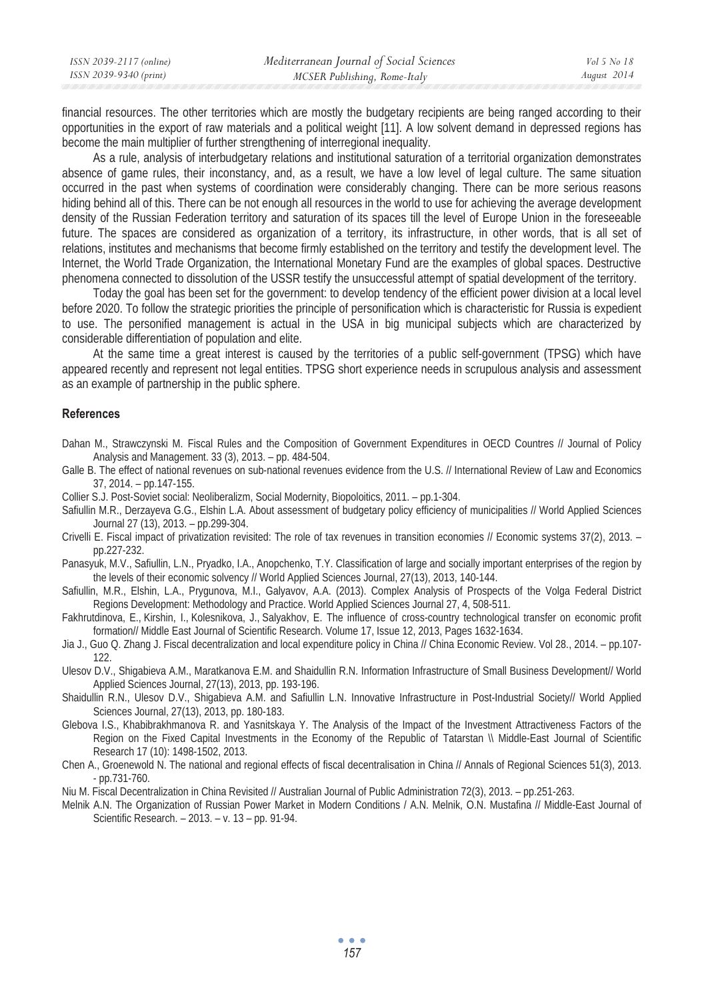| ISSN 2039-2117 (online) | Mediterranean Journal of Social Sciences | Vol 5 No 18 |
|-------------------------|------------------------------------------|-------------|
| ISSN 2039-9340 (print)  | MCSER Publishing, Rome-Italy             | August 2014 |

financial resources. The other territories which are mostly the budgetary recipients are being ranged according to their opportunities in the export of raw materials and a political weight [11]. A low solvent demand in depressed regions has become the main multiplier of further strengthening of interregional inequality.

As a rule, analysis of interbudgetary relations and institutional saturation of a territorial organization demonstrates absence of game rules, their inconstancy, and, as a result, we have a low level of legal culture. The same situation occurred in the past when systems of coordination were considerably changing. There can be more serious reasons hiding behind all of this. There can be not enough all resources in the world to use for achieving the average development density of the Russian Federation territory and saturation of its spaces till the level of Europe Union in the foreseeable future. The spaces are considered as organization of a territory, its infrastructure, in other words, that is all set of relations, institutes and mechanisms that become firmly established on the territory and testify the development level. The Internet, the World Trade Organization, the International Monetary Fund are the examples of global spaces. Destructive phenomena connected to dissolution of the USSR testify the unsuccessful attempt of spatial development of the territory.

Today the goal has been set for the government: to develop tendency of the efficient power division at a local level before 2020. To follow the strategic priorities the principle of personification which is characteristic for Russia is expedient to use. The personified management is actual in the USA in big municipal subjects which are characterized by considerable differentiation of population and elite.

At the same time a great interest is caused by the territories of a public self-government (TPSG) which have appeared recently and represent not legal entities. TPSG short experience needs in scrupulous analysis and assessment as an example of partnership in the public sphere.

#### **References**

Dahan M., Strawczynski M. Fiscal Rules and the Composition of Government Expenditures in OECD Countres // Journal of Policy Analysis and Management. 33 (3), 2013. – pp. 484-504.

Galle B. The effect of national revenues on sub-national revenues evidence from the U.S. // International Review of Law and Economics 37, 2014. – pp.147-155.

Collier S.J. Post-Soviet social: Neoliberalizm, Social Modernity, Biopoloitics, 2011. – pp.1-304.

- Safiullin M.R., Derzayeva G.G., Elshin L.A. About assessment of budgetary policy efficiency of municipalities // World Applied Sciences Journal 27 (13), 2013. – pp.299-304.
- Crivelli E. Fiscal impact of privatization revisited: The role of tax revenues in transition economies // Economic systems 37(2), 2013. pp.227-232.
- Panasyuk, M.V., Safiullin, L.N., Pryadko, I.A., Anopchenko, T.Y. Classification of large and socially important enterprises of the region by the levels of their economic solvency // World Applied Sciences Journal, 27(13), 2013, 140-144.
- Safiullin, M.R., Elshin, L.A., Prygunova, M.I., Galyavov, A.A. (2013). Complex Analysis of Prospects of the Volga Federal District Regions Development: Methodology and Practice. World Applied Sciences Journal 27, 4, 508-511.
- Fakhrutdinova, E., Kirshin, I., Kolesnikova, J., Salyakhov, E. The influence of cross-country technological transfer on economic profit formation// Middle East Journal of Scientific Research. Volume 17, Issue 12, 2013, Pages 1632-1634.
- Jia J., Guo Q. Zhang J. Fiscal decentralization and local expenditure policy in China // China Economic Review. Vol 28., 2014. pp.107- 122.
- Ulesov D.V., Shigabieva A.M., Maratkanova E.M. and Shaidullin R.N. Information Infrastructure of Small Business Development// World Applied Sciences Journal, 27(13), 2013, pp. 193-196.
- Shaidullin R.N., Ulesov D.V., Shigabieva A.M. and Safiullin L.N. Innovative Infrastructure in Post-Industrial Society// World Applied Sciences Journal, 27(13), 2013, pp. 180-183.
- Glebova I.S., Khabibrakhmanova R. and Yasnitskaya Y. The Analysis of the Impact of the Investment Attractiveness Factors of the Region on the Fixed Capital Investments in the Economy of the Republic of Tatarstan \\ Middle-East Journal of Scientific Research 17 (10): 1498-1502, 2013.
- Chen A., Groenewold N. The national and regional effects of fiscal decentralisation in China // Annals of Regional Sciences 51(3), 2013. - pp.731-760.
- Niu M. Fiscal Decentralization in China Revisited // Australian Journal of Public Administration 72(3), 2013. pp.251-263.
- Melnik A.N. The Organization of Russian Power Market in Modern Conditions / A.N. Melnik, O.N. Mustafina // Middle-East Journal of Scientific Research. – 2013. – v. 13 – pp. 91-94.